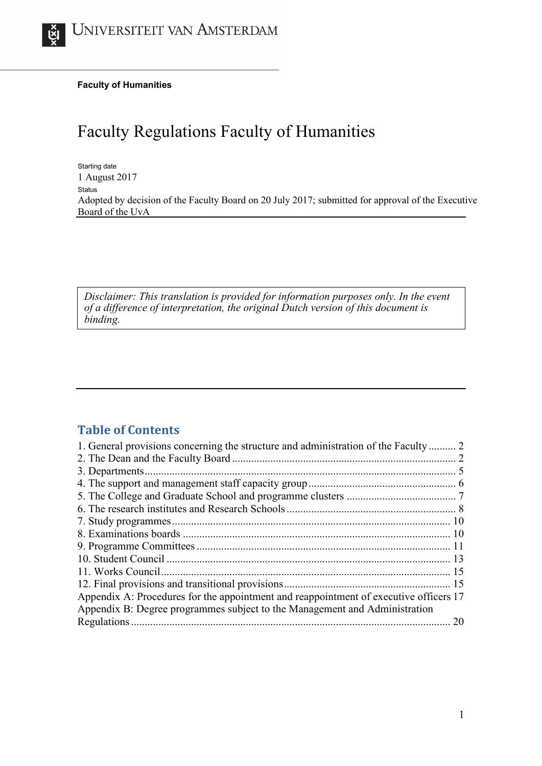**Faculty of Humanities**

# Faculty Regulations Faculty of Humanities

Starting date 1 August 2017 Status Adopted by decision of the Faculty Board on 20 July 2017; submitted for approval of the Executive Board of the UvA

*Disclaimer: This translation is provided for information purposes only. In the event of a difference of interpretation, the original Dutch version of this document is binding.*

# **Table of Contents**

| 1. General provisions concerning the structure and administration of the Faculty  2   |  |
|---------------------------------------------------------------------------------------|--|
|                                                                                       |  |
|                                                                                       |  |
|                                                                                       |  |
|                                                                                       |  |
|                                                                                       |  |
|                                                                                       |  |
|                                                                                       |  |
|                                                                                       |  |
|                                                                                       |  |
|                                                                                       |  |
|                                                                                       |  |
| Appendix A: Procedures for the appointment and reappointment of executive officers 17 |  |
| Appendix B: Degree programmes subject to the Management and Administration            |  |
|                                                                                       |  |
|                                                                                       |  |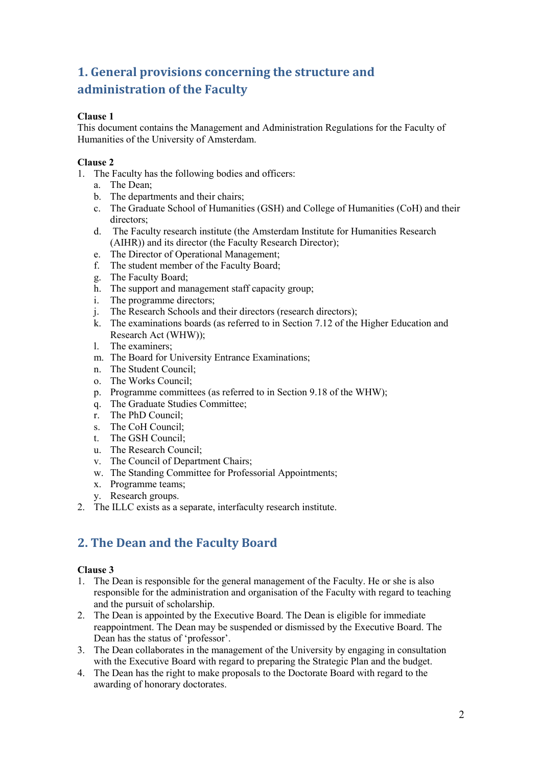# <span id="page-1-0"></span>**1. General provisions concerning the structure and administration of the Faculty**

# **Clause 1**

This document contains the Management and Administration Regulations for the Faculty of Humanities of the University of Amsterdam.

### **Clause 2**

- 1. The Faculty has the following bodies and officers:
	- a. The Dean;
	- b. The departments and their chairs;
	- c. The Graduate School of Humanities (GSH) and College of Humanities (CoH) and their directors;
	- d. The Faculty research institute (the Amsterdam Institute for Humanities Research (AIHR)) and its director (the Faculty Research Director);
	- e. The Director of Operational Management;
	- f. The student member of the Faculty Board;
	- g. The Faculty Board;
	- h. The support and management staff capacity group;
	- i. The programme directors;
	- j. The Research Schools and their directors (research directors);
	- k. The examinations boards (as referred to in Section 7.12 of the Higher Education and Research Act (WHW));
	- l. The examiners;
	- m. The Board for University Entrance Examinations;
	- n. The Student Council;
	- o. The Works Council;
	- p. Programme committees (as referred to in Section 9.18 of the WHW);
	- q. The Graduate Studies Committee;
	- r. The PhD Council;
	- s. The CoH Council;
	- t. The GSH Council;
	- u. The Research Council;
	- v. The Council of Department Chairs;
	- w. The Standing Committee for Professorial Appointments;
	- x. Programme teams;
	- y. Research groups.
- <span id="page-1-1"></span>2. The ILLC exists as a separate, interfaculty research institute.

# **2. The Dean and the Faculty Board**

- 1. The Dean is responsible for the general management of the Faculty. He or she is also responsible for the administration and organisation of the Faculty with regard to teaching and the pursuit of scholarship.
- 2. The Dean is appointed by the Executive Board. The Dean is eligible for immediate reappointment. The Dean may be suspended or dismissed by the Executive Board. The Dean has the status of 'professor'.
- 3. The Dean collaborates in the management of the University by engaging in consultation with the Executive Board with regard to preparing the Strategic Plan and the budget.
- 4. The Dean has the right to make proposals to the Doctorate Board with regard to the awarding of honorary doctorates.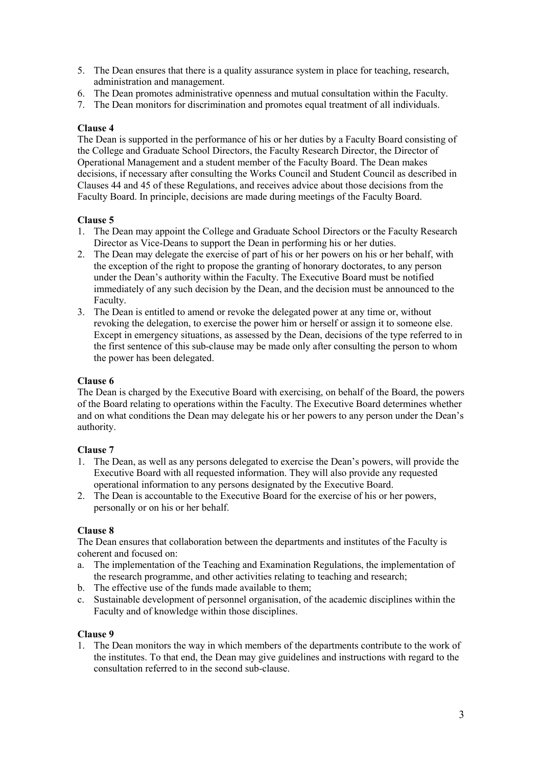- 5. The Dean ensures that there is a quality assurance system in place for teaching, research, administration and management.
- 6. The Dean promotes administrative openness and mutual consultation within the Faculty.
- 7. The Dean monitors for discrimination and promotes equal treatment of all individuals.

The Dean is supported in the performance of his or her duties by a Faculty Board consisting of the College and Graduate School Directors, the Faculty Research Director, the Director of Operational Management and a student member of the Faculty Board. The Dean makes decisions, if necessary after consulting the Works Council and Student Council as described in Clauses 44 and 45 of these Regulations, and receives advice about those decisions from the Faculty Board. In principle, decisions are made during meetings of the Faculty Board.

#### **Clause 5**

- 1. The Dean may appoint the College and Graduate School Directors or the Faculty Research Director as Vice-Deans to support the Dean in performing his or her duties.
- 2. The Dean may delegate the exercise of part of his or her powers on his or her behalf, with the exception of the right to propose the granting of honorary doctorates, to any person under the Dean's authority within the Faculty. The Executive Board must be notified immediately of any such decision by the Dean, and the decision must be announced to the Faculty.
- 3. The Dean is entitled to amend or revoke the delegated power at any time or, without revoking the delegation, to exercise the power him or herself or assign it to someone else. Except in emergency situations, as assessed by the Dean, decisions of the type referred to in the first sentence of this sub-clause may be made only after consulting the person to whom the power has been delegated.

### **Clause 6**

The Dean is charged by the Executive Board with exercising, on behalf of the Board, the powers of the Board relating to operations within the Faculty. The Executive Board determines whether and on what conditions the Dean may delegate his or her powers to any person under the Dean's authority.

#### **Clause 7**

- 1. The Dean, as well as any persons delegated to exercise the Dean's powers, will provide the Executive Board with all requested information. They will also provide any requested operational information to any persons designated by the Executive Board.
- 2. The Dean is accountable to the Executive Board for the exercise of his or her powers, personally or on his or her behalf.

#### **Clause 8**

The Dean ensures that collaboration between the departments and institutes of the Faculty is coherent and focused on:

- a. The implementation of the Teaching and Examination Regulations, the implementation of the research programme, and other activities relating to teaching and research;
- b. The effective use of the funds made available to them;
- c. Sustainable development of personnel organisation, of the academic disciplines within the Faculty and of knowledge within those disciplines.

#### **Clause 9**

1. The Dean monitors the way in which members of the departments contribute to the work of the institutes. To that end, the Dean may give guidelines and instructions with regard to the consultation referred to in the second sub-clause.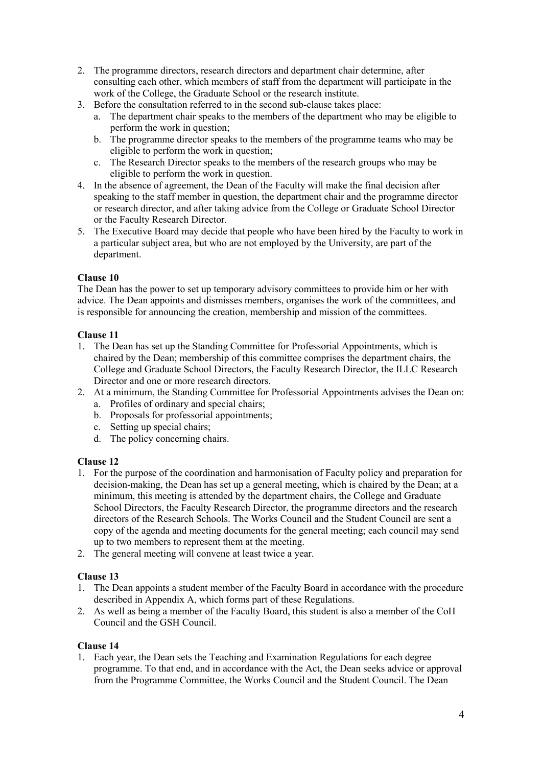- 2. The programme directors, research directors and department chair determine, after consulting each other, which members of staff from the department will participate in the work of the College, the Graduate School or the research institute.
- 3. Before the consultation referred to in the second sub-clause takes place:
	- a. The department chair speaks to the members of the department who may be eligible to perform the work in question;
	- b. The programme director speaks to the members of the programme teams who may be eligible to perform the work in question;
	- c. The Research Director speaks to the members of the research groups who may be eligible to perform the work in question.
- 4. In the absence of agreement, the Dean of the Faculty will make the final decision after speaking to the staff member in question, the department chair and the programme director or research director, and after taking advice from the College or Graduate School Director or the Faculty Research Director.
- 5. The Executive Board may decide that people who have been hired by the Faculty to work in a particular subject area, but who are not employed by the University, are part of the department.

The Dean has the power to set up temporary advisory committees to provide him or her with advice. The Dean appoints and dismisses members, organises the work of the committees, and is responsible for announcing the creation, membership and mission of the committees.

#### **Clause 11**

- 1. The Dean has set up the Standing Committee for Professorial Appointments, which is chaired by the Dean; membership of this committee comprises the department chairs, the College and Graduate School Directors, the Faculty Research Director, the ILLC Research Director and one or more research directors.
- 2. At a minimum, the Standing Committee for Professorial Appointments advises the Dean on:
	- a. Profiles of ordinary and special chairs;
	- b. Proposals for professorial appointments;
	- c. Setting up special chairs;
	- d. The policy concerning chairs.

# **Clause 12**

- 1. For the purpose of the coordination and harmonisation of Faculty policy and preparation for decision-making, the Dean has set up a general meeting, which is chaired by the Dean; at a minimum, this meeting is attended by the department chairs, the College and Graduate School Directors, the Faculty Research Director, the programme directors and the research directors of the Research Schools. The Works Council and the Student Council are sent a copy of the agenda and meeting documents for the general meeting; each council may send up to two members to represent them at the meeting.
- 2. The general meeting will convene at least twice a year.

#### **Clause 13**

- 1. The Dean appoints a student member of the Faculty Board in accordance with the procedure described in Appendix A, which forms part of these Regulations.
- 2. As well as being a member of the Faculty Board, this student is also a member of the CoH Council and the GSH Council.

#### **Clause 14**

1. Each year, the Dean sets the Teaching and Examination Regulations for each degree programme. To that end, and in accordance with the Act, the Dean seeks advice or approval from the Programme Committee, the Works Council and the Student Council. The Dean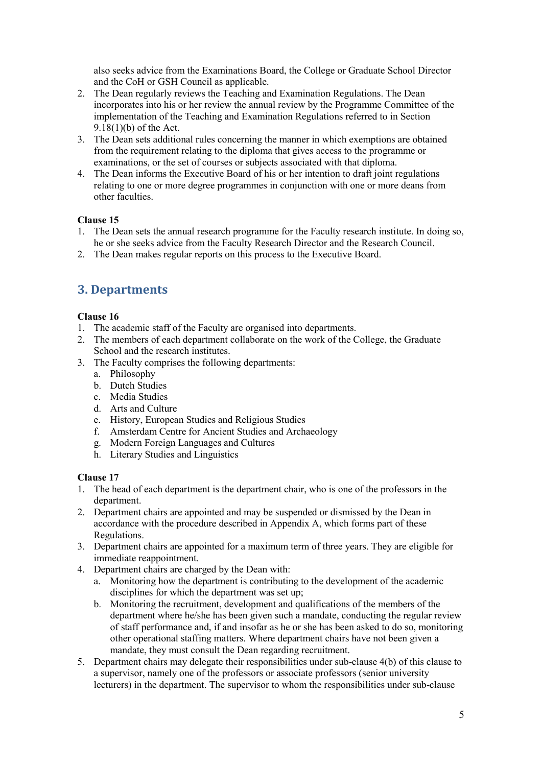also seeks advice from the Examinations Board, the College or Graduate School Director and the CoH or GSH Council as applicable.

- 2. The Dean regularly reviews the Teaching and Examination Regulations. The Dean incorporates into his or her review the annual review by the Programme Committee of the implementation of the Teaching and Examination Regulations referred to in Section 9.18(1)(b) of the Act.
- 3. The Dean sets additional rules concerning the manner in which exemptions are obtained from the requirement relating to the diploma that gives access to the programme or examinations, or the set of courses or subjects associated with that diploma.
- 4. The Dean informs the Executive Board of his or her intention to draft joint regulations relating to one or more degree programmes in conjunction with one or more deans from other faculties.

# **Clause 15**

- 1. The Dean sets the annual research programme for the Faculty research institute. In doing so, he or she seeks advice from the Faculty Research Director and the Research Council.
- <span id="page-4-0"></span>2. The Dean makes regular reports on this process to the Executive Board.

# **3. Departments**

# **Clause 16**

- 1. The academic staff of the Faculty are organised into departments.
- 2. The members of each department collaborate on the work of the College, the Graduate School and the research institutes.
- 3. The Faculty comprises the following departments:
	- a. Philosophy
	- b. Dutch Studies
	- c. Media Studies
	- d. Arts and Culture
	- e. History, European Studies and Religious Studies
	- f. Amsterdam Centre for Ancient Studies and Archaeology
	- g. Modern Foreign Languages and Cultures
	- h. Literary Studies and Linguistics

- 1. The head of each department is the department chair, who is one of the professors in the department.
- 2. Department chairs are appointed and may be suspended or dismissed by the Dean in accordance with the procedure described in Appendix A, which forms part of these Regulations.
- 3. Department chairs are appointed for a maximum term of three years. They are eligible for immediate reappointment.
- 4. Department chairs are charged by the Dean with:
	- a. Monitoring how the department is contributing to the development of the academic disciplines for which the department was set up;
	- b. Monitoring the recruitment, development and qualifications of the members of the department where he/she has been given such a mandate, conducting the regular review of staff performance and, if and insofar as he or she has been asked to do so, monitoring other operational staffing matters. Where department chairs have not been given a mandate, they must consult the Dean regarding recruitment.
- 5. Department chairs may delegate their responsibilities under sub-clause 4(b) of this clause to a supervisor, namely one of the professors or associate professors (senior university lecturers) in the department. The supervisor to whom the responsibilities under sub-clause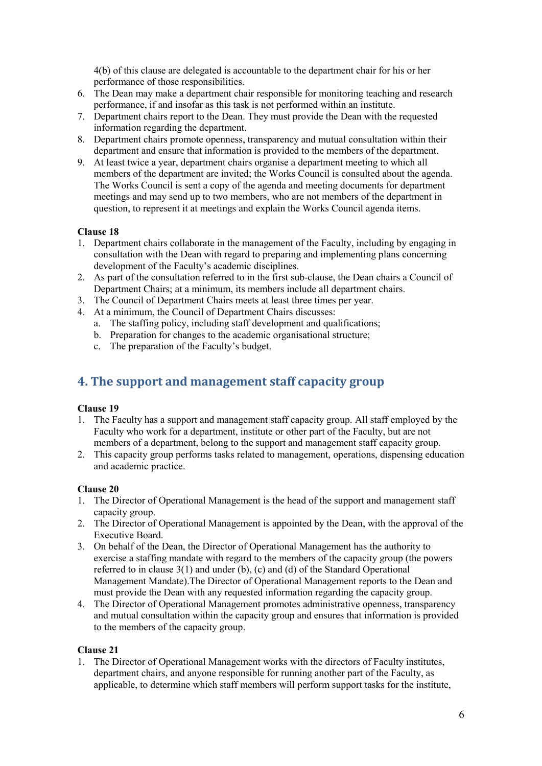4(b) of this clause are delegated is accountable to the department chair for his or her performance of those responsibilities.

- 6. The Dean may make a department chair responsible for monitoring teaching and research performance, if and insofar as this task is not performed within an institute.
- 7. Department chairs report to the Dean. They must provide the Dean with the requested information regarding the department.
- 8. Department chairs promote openness, transparency and mutual consultation within their department and ensure that information is provided to the members of the department.
- 9. At least twice a year, department chairs organise a department meeting to which all members of the department are invited; the Works Council is consulted about the agenda. The Works Council is sent a copy of the agenda and meeting documents for department meetings and may send up to two members, who are not members of the department in question, to represent it at meetings and explain the Works Council agenda items.

# **Clause 18**

- 1. Department chairs collaborate in the management of the Faculty, including by engaging in consultation with the Dean with regard to preparing and implementing plans concerning development of the Faculty's academic disciplines.
- 2. As part of the consultation referred to in the first sub-clause, the Dean chairs a Council of Department Chairs; at a minimum, its members include all department chairs.
- 3. The Council of Department Chairs meets at least three times per year.
- 4. At a minimum, the Council of Department Chairs discusses:
	- a. The staffing policy, including staff development and qualifications;
	- b. Preparation for changes to the academic organisational structure;
	- c. The preparation of the Faculty's budget.

# <span id="page-5-0"></span>**4. The support and management staff capacity group**

#### **Clause 19**

- 1. The Faculty has a support and management staff capacity group. All staff employed by the Faculty who work for a department, institute or other part of the Faculty, but are not members of a department, belong to the support and management staff capacity group.
- 2. This capacity group performs tasks related to management, operations, dispensing education and academic practice.

#### **Clause 20**

- 1. The Director of Operational Management is the head of the support and management staff capacity group.
- 2. The Director of Operational Management is appointed by the Dean, with the approval of the Executive Board.
- 3. On behalf of the Dean, the Director of Operational Management has the authority to exercise a staffing mandate with regard to the members of the capacity group (the powers referred to in clause  $3(1)$  and under (b), (c) and (d) of the Standard Operational Management Mandate).The Director of Operational Management reports to the Dean and must provide the Dean with any requested information regarding the capacity group.
- 4. The Director of Operational Management promotes administrative openness, transparency and mutual consultation within the capacity group and ensures that information is provided to the members of the capacity group.

#### **Clause 21**

1. The Director of Operational Management works with the directors of Faculty institutes, department chairs, and anyone responsible for running another part of the Faculty, as applicable, to determine which staff members will perform support tasks for the institute,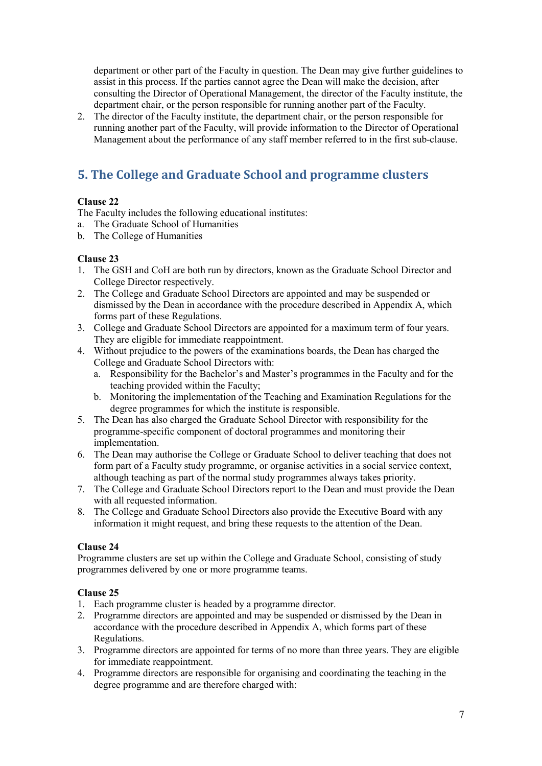department or other part of the Faculty in question. The Dean may give further guidelines to assist in this process. If the parties cannot agree the Dean will make the decision, after consulting the Director of Operational Management, the director of the Faculty institute, the department chair, or the person responsible for running another part of the Faculty.

2. The director of the Faculty institute, the department chair, or the person responsible for running another part of the Faculty, will provide information to the Director of Operational Management about the performance of any staff member referred to in the first sub-clause.

# <span id="page-6-0"></span>**5. The College and Graduate School and programme clusters**

# **Clause 22**

The Faculty includes the following educational institutes:

- a. The Graduate School of Humanities
- b. The College of Humanities

# **Clause 23**

- 1. The GSH and CoH are both run by directors, known as the Graduate School Director and College Director respectively.
- 2. The College and Graduate School Directors are appointed and may be suspended or dismissed by the Dean in accordance with the procedure described in Appendix A, which forms part of these Regulations.
- 3. College and Graduate School Directors are appointed for a maximum term of four years. They are eligible for immediate reappointment.
- 4. Without prejudice to the powers of the examinations boards, the Dean has charged the College and Graduate School Directors with:
	- a. Responsibility for the Bachelor's and Master's programmes in the Faculty and for the teaching provided within the Faculty;
	- b. Monitoring the implementation of the Teaching and Examination Regulations for the degree programmes for which the institute is responsible.
- 5. The Dean has also charged the Graduate School Director with responsibility for the programme-specific component of doctoral programmes and monitoring their implementation.
- 6. The Dean may authorise the College or Graduate School to deliver teaching that does not form part of a Faculty study programme, or organise activities in a social service context, although teaching as part of the normal study programmes always takes priority.
- 7. The College and Graduate School Directors report to the Dean and must provide the Dean with all requested information.
- 8. The College and Graduate School Directors also provide the Executive Board with any information it might request, and bring these requests to the attention of the Dean.

# **Clause 24**

Programme clusters are set up within the College and Graduate School, consisting of study programmes delivered by one or more programme teams.

- 1. Each programme cluster is headed by a programme director.
- 2. Programme directors are appointed and may be suspended or dismissed by the Dean in accordance with the procedure described in Appendix A, which forms part of these Regulations.
- 3. Programme directors are appointed for terms of no more than three years. They are eligible for immediate reappointment.
- 4. Programme directors are responsible for organising and coordinating the teaching in the degree programme and are therefore charged with: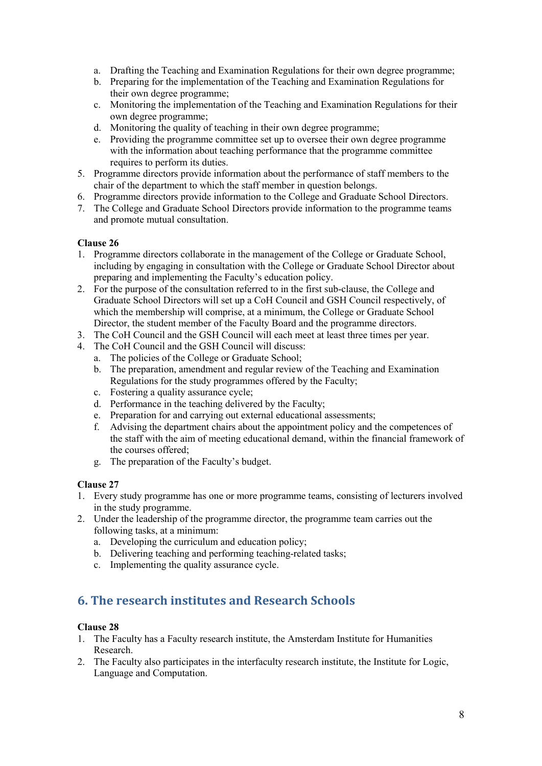- a. Drafting the Teaching and Examination Regulations for their own degree programme;
- b. Preparing for the implementation of the Teaching and Examination Regulations for their own degree programme;
- c. Monitoring the implementation of the Teaching and Examination Regulations for their own degree programme;
- d. Monitoring the quality of teaching in their own degree programme;
- e. Providing the programme committee set up to oversee their own degree programme with the information about teaching performance that the programme committee requires to perform its duties.
- 5. Programme directors provide information about the performance of staff members to the chair of the department to which the staff member in question belongs.
- 6. Programme directors provide information to the College and Graduate School Directors.
- 7. The College and Graduate School Directors provide information to the programme teams and promote mutual consultation.

- 1. Programme directors collaborate in the management of the College or Graduate School, including by engaging in consultation with the College or Graduate School Director about preparing and implementing the Faculty's education policy.
- 2. For the purpose of the consultation referred to in the first sub-clause, the College and Graduate School Directors will set up a CoH Council and GSH Council respectively, of which the membership will comprise, at a minimum, the College or Graduate School Director, the student member of the Faculty Board and the programme directors.
- 3. The CoH Council and the GSH Council will each meet at least three times per year.
- 4. The CoH Council and the GSH Council will discuss:
	- a. The policies of the College or Graduate School;
	- b. The preparation, amendment and regular review of the Teaching and Examination Regulations for the study programmes offered by the Faculty;
	- c. Fostering a quality assurance cycle;
	- d. Performance in the teaching delivered by the Faculty;
	- e. Preparation for and carrying out external educational assessments;
	- f. Advising the department chairs about the appointment policy and the competences of the staff with the aim of meeting educational demand, within the financial framework of the courses offered;
	- g. The preparation of the Faculty's budget.

# **Clause 27**

- 1. Every study programme has one or more programme teams, consisting of lecturers involved in the study programme.
- 2. Under the leadership of the programme director, the programme team carries out the following tasks, at a minimum:
	- a. Developing the curriculum and education policy;
	- b. Delivering teaching and performing teaching-related tasks;
	- c. Implementing the quality assurance cycle.

# <span id="page-7-0"></span>**6. The research institutes and Research Schools**

- 1. The Faculty has a Faculty research institute, the Amsterdam Institute for Humanities Research.
- 2. The Faculty also participates in the interfaculty research institute, the Institute for Logic, Language and Computation.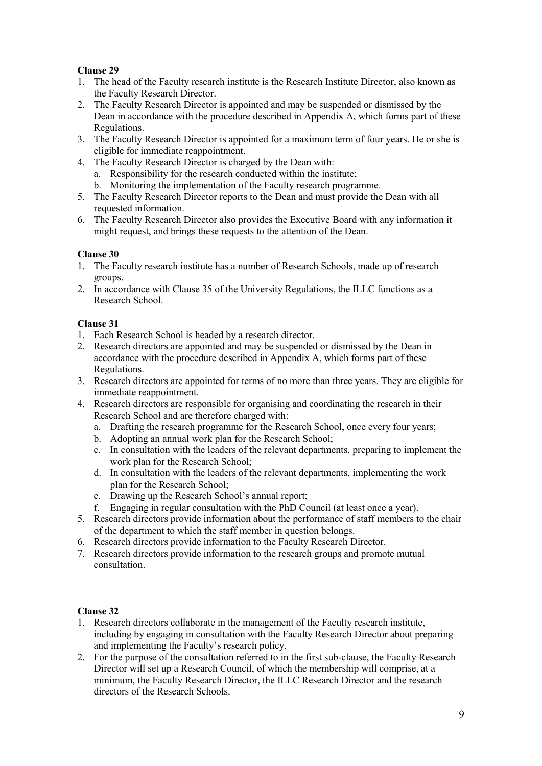- 1. The head of the Faculty research institute is the Research Institute Director, also known as the Faculty Research Director.
- 2. The Faculty Research Director is appointed and may be suspended or dismissed by the Dean in accordance with the procedure described in Appendix A, which forms part of these Regulations.
- 3. The Faculty Research Director is appointed for a maximum term of four years. He or she is eligible for immediate reappointment.
- 4. The Faculty Research Director is charged by the Dean with:
	- a. Responsibility for the research conducted within the institute;
	- b. Monitoring the implementation of the Faculty research programme.
- 5. The Faculty Research Director reports to the Dean and must provide the Dean with all requested information.
- 6. The Faculty Research Director also provides the Executive Board with any information it might request, and brings these requests to the attention of the Dean.

#### **Clause 30**

- 1. The Faculty research institute has a number of Research Schools, made up of research groups.
- 2. In accordance with Clause 35 of the University Regulations, the ILLC functions as a Research School.

#### **Clause 31**

- 1. Each Research School is headed by a research director.
- 2. Research directors are appointed and may be suspended or dismissed by the Dean in accordance with the procedure described in Appendix A, which forms part of these Regulations.
- 3. Research directors are appointed for terms of no more than three years. They are eligible for immediate reappointment.
- 4. Research directors are responsible for organising and coordinating the research in their Research School and are therefore charged with:
	- a. Drafting the research programme for the Research School, once every four years;
	- b. Adopting an annual work plan for the Research School;
	- c. In consultation with the leaders of the relevant departments, preparing to implement the work plan for the Research School;
	- d. In consultation with the leaders of the relevant departments, implementing the work plan for the Research School;
	- e. Drawing up the Research School's annual report;
	- f. Engaging in regular consultation with the PhD Council (at least once a year).
- 5. Research directors provide information about the performance of staff members to the chair of the department to which the staff member in question belongs.
- 6. Research directors provide information to the Faculty Research Director.
- 7. Research directors provide information to the research groups and promote mutual consultation.

- 1. Research directors collaborate in the management of the Faculty research institute, including by engaging in consultation with the Faculty Research Director about preparing and implementing the Faculty's research policy.
- 2. For the purpose of the consultation referred to in the first sub-clause, the Faculty Research Director will set up a Research Council, of which the membership will comprise, at a minimum, the Faculty Research Director, the ILLC Research Director and the research directors of the Research Schools.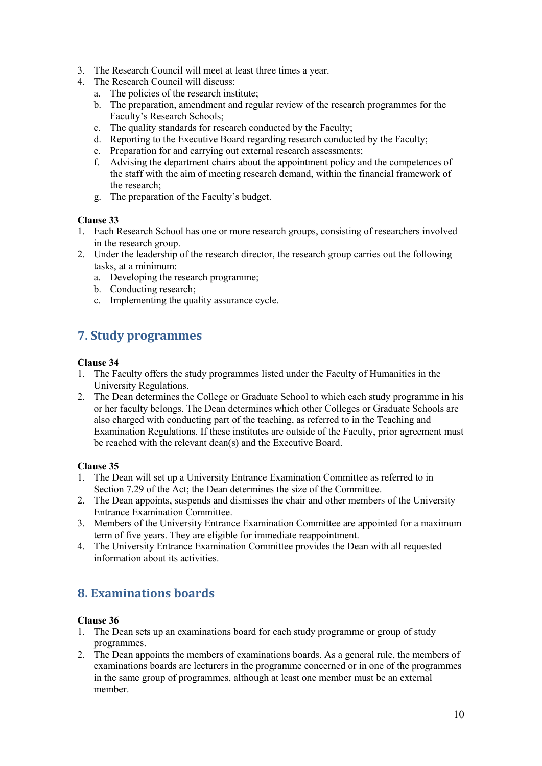- 3. The Research Council will meet at least three times a year.
- 4. The Research Council will discuss:
	- a. The policies of the research institute;
	- b. The preparation, amendment and regular review of the research programmes for the Faculty's Research Schools;
	- c. The quality standards for research conducted by the Faculty;
	- d. Reporting to the Executive Board regarding research conducted by the Faculty;
	- e. Preparation for and carrying out external research assessments;
	- f. Advising the department chairs about the appointment policy and the competences of the staff with the aim of meeting research demand, within the financial framework of the research;
	- g. The preparation of the Faculty's budget.

- 1. Each Research School has one or more research groups, consisting of researchers involved in the research group.
- 2. Under the leadership of the research director, the research group carries out the following tasks, at a minimum:
	- a. Developing the research programme;
	- b. Conducting research;
	- c. Implementing the quality assurance cycle.

# <span id="page-9-0"></span>**7. Study programmes**

#### **Clause 34**

- 1. The Faculty offers the study programmes listed under the Faculty of Humanities in the University Regulations.
- 2. The Dean determines the College or Graduate School to which each study programme in his or her faculty belongs. The Dean determines which other Colleges or Graduate Schools are also charged with conducting part of the teaching, as referred to in the Teaching and Examination Regulations. If these institutes are outside of the Faculty, prior agreement must be reached with the relevant dean(s) and the Executive Board.

#### **Clause 35**

- 1. The Dean will set up a University Entrance Examination Committee as referred to in Section 7.29 of the Act; the Dean determines the size of the Committee.
- 2. The Dean appoints, suspends and dismisses the chair and other members of the University Entrance Examination Committee.
- 3. Members of the University Entrance Examination Committee are appointed for a maximum term of five years. They are eligible for immediate reappointment.
- <span id="page-9-1"></span>4. The University Entrance Examination Committee provides the Dean with all requested information about its activities.

# **8. Examinations boards**

- 1. The Dean sets up an examinations board for each study programme or group of study programmes.
- 2. The Dean appoints the members of examinations boards. As a general rule, the members of examinations boards are lecturers in the programme concerned or in one of the programmes in the same group of programmes, although at least one member must be an external member.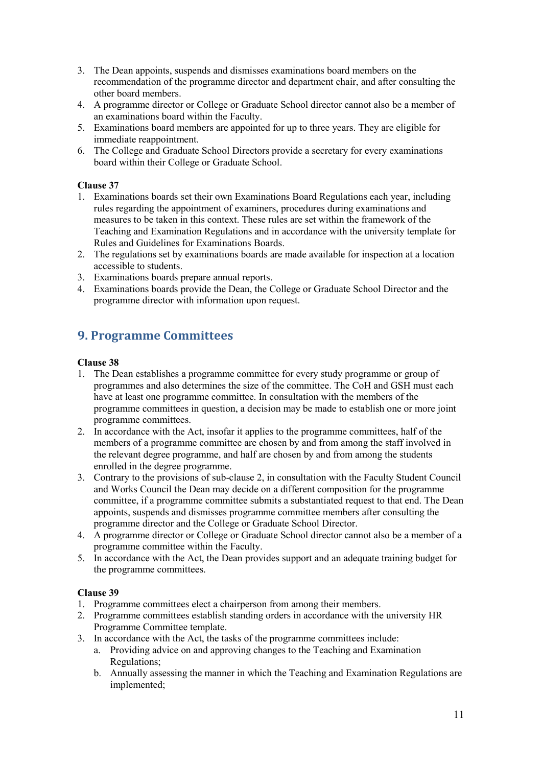- 3. The Dean appoints, suspends and dismisses examinations board members on the recommendation of the programme director and department chair, and after consulting the other board members.
- 4. A programme director or College or Graduate School director cannot also be a member of an examinations board within the Faculty.
- 5. Examinations board members are appointed for up to three years. They are eligible for immediate reappointment.
- 6. The College and Graduate School Directors provide a secretary for every examinations board within their College or Graduate School.

- 1. Examinations boards set their own Examinations Board Regulations each year, including rules regarding the appointment of examiners, procedures during examinations and measures to be taken in this context. These rules are set within the framework of the Teaching and Examination Regulations and in accordance with the university template for Rules and Guidelines for Examinations Boards.
- 2. The regulations set by examinations boards are made available for inspection at a location accessible to students.
- 3. Examinations boards prepare annual reports.
- 4. Examinations boards provide the Dean, the College or Graduate School Director and the programme director with information upon request.

# <span id="page-10-0"></span>**9. Programme Committees**

#### **Clause 38**

- 1. The Dean establishes a programme committee for every study programme or group of programmes and also determines the size of the committee. The CoH and GSH must each have at least one programme committee. In consultation with the members of the programme committees in question, a decision may be made to establish one or more joint programme committees.
- 2. In accordance with the Act, insofar it applies to the programme committees, half of the members of a programme committee are chosen by and from among the staff involved in the relevant degree programme, and half are chosen by and from among the students enrolled in the degree programme.
- 3. Contrary to the provisions of sub-clause 2, in consultation with the Faculty Student Council and Works Council the Dean may decide on a different composition for the programme committee, if a programme committee submits a substantiated request to that end. The Dean appoints, suspends and dismisses programme committee members after consulting the programme director and the College or Graduate School Director.
- 4. A programme director or College or Graduate School director cannot also be a member of a programme committee within the Faculty.
- 5. In accordance with the Act, the Dean provides support and an adequate training budget for the programme committees.

- 1. Programme committees elect a chairperson from among their members.
- 2. Programme committees establish standing orders in accordance with the university HR Programme Committee template.
- 3. In accordance with the Act, the tasks of the programme committees include:
	- a. Providing advice on and approving changes to the Teaching and Examination Regulations;
	- b. Annually assessing the manner in which the Teaching and Examination Regulations are implemented;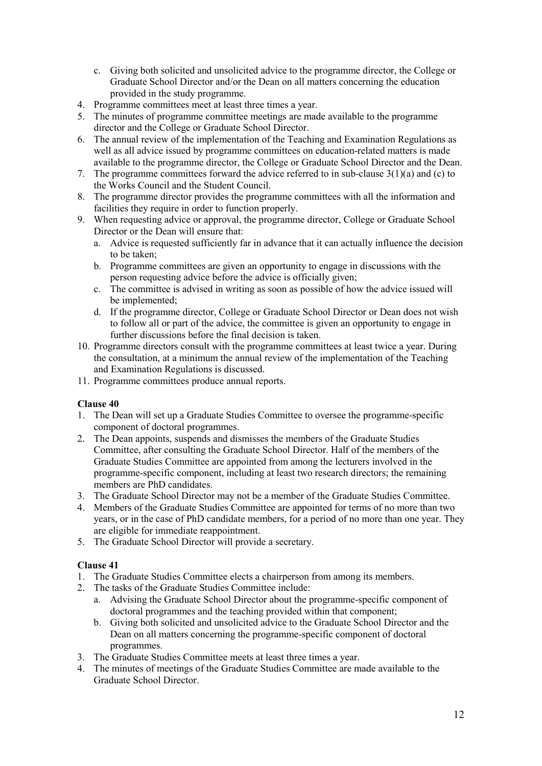- c. Giving both solicited and unsolicited advice to the programme director, the College or Graduate School Director and/or the Dean on all matters concerning the education provided in the study programme.
- 4. Programme committees meet at least three times a year.
- 5. The minutes of programme committee meetings are made available to the programme director and the College or Graduate School Director.
- 6. The annual review of the implementation of the Teaching and Examination Regulations as well as all advice issued by programme committees on education-related matters is made available to the programme director, the College or Graduate School Director and the Dean.
- 7. The programme committees forward the advice referred to in sub-clause  $3(1)(a)$  and (c) to the Works Council and the Student Council.
- 8. The programme director provides the programme committees with all the information and facilities they require in order to function properly.
- 9. When requesting advice or approval, the programme director, College or Graduate School Director or the Dean will ensure that:
	- a. Advice is requested sufficiently far in advance that it can actually influence the decision to be taken;
	- b. Programme committees are given an opportunity to engage in discussions with the person requesting advice before the advice is officially given;
	- c. The committee is advised in writing as soon as possible of how the advice issued will be implemented;
	- d. If the programme director, College or Graduate School Director or Dean does not wish to follow all or part of the advice, the committee is given an opportunity to engage in further discussions before the final decision is taken.
- 10. Programme directors consult with the programme committees at least twice a year. During the consultation, at a minimum the annual review of the implementation of the Teaching and Examination Regulations is discussed.
- 11. Programme committees produce annual reports.

- 1. The Dean will set up a Graduate Studies Committee to oversee the programme-specific component of doctoral programmes.
- 2. The Dean appoints, suspends and dismisses the members of the Graduate Studies Committee, after consulting the Graduate School Director. Half of the members of the Graduate Studies Committee are appointed from among the lecturers involved in the programme-specific component, including at least two research directors; the remaining members are PhD candidates.
- 3. The Graduate School Director may not be a member of the Graduate Studies Committee.
- 4. Members of the Graduate Studies Committee are appointed for terms of no more than two years, or in the case of PhD candidate members, for a period of no more than one year. They are eligible for immediate reappointment.
- 5. The Graduate School Director will provide a secretary.

- 1. The Graduate Studies Committee elects a chairperson from among its members.
- 2. The tasks of the Graduate Studies Committee include:
	- a. Advising the Graduate School Director about the programme-specific component of doctoral programmes and the teaching provided within that component;
	- b. Giving both solicited and unsolicited advice to the Graduate School Director and the Dean on all matters concerning the programme-specific component of doctoral programmes.
- 3. The Graduate Studies Committee meets at least three times a year.
- 4. The minutes of meetings of the Graduate Studies Committee are made available to the Graduate School Director.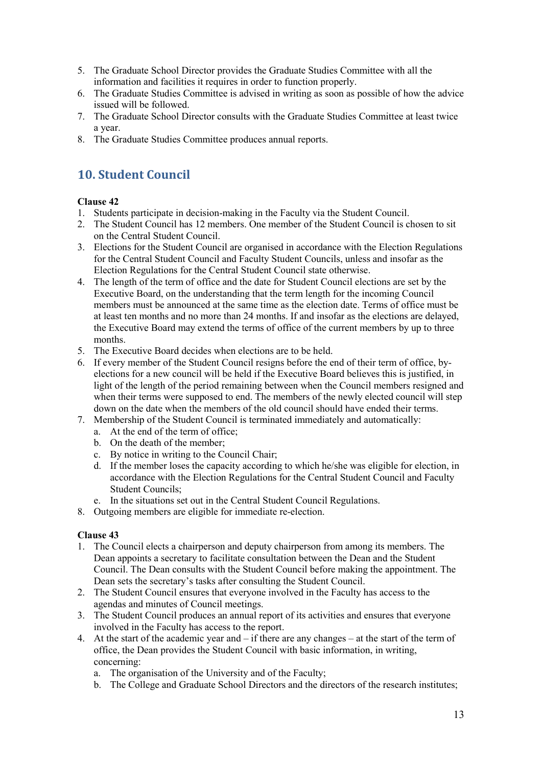- 5. The Graduate School Director provides the Graduate Studies Committee with all the information and facilities it requires in order to function properly.
- 6. The Graduate Studies Committee is advised in writing as soon as possible of how the advice issued will be followed.
- 7. The Graduate School Director consults with the Graduate Studies Committee at least twice a year.
- <span id="page-12-0"></span>8. The Graduate Studies Committee produces annual reports.

# **10. Student Council**

# **Clause 42**

- 1. Students participate in decision-making in the Faculty via the Student Council.
- 2. The Student Council has 12 members. One member of the Student Council is chosen to sit on the Central Student Council.
- 3. Elections for the Student Council are organised in accordance with the Election Regulations for the Central Student Council and Faculty Student Councils, unless and insofar as the Election Regulations for the Central Student Council state otherwise.
- 4. The length of the term of office and the date for Student Council elections are set by the Executive Board, on the understanding that the term length for the incoming Council members must be announced at the same time as the election date. Terms of office must be at least ten months and no more than 24 months. If and insofar as the elections are delayed, the Executive Board may extend the terms of office of the current members by up to three months.
- 5. The Executive Board decides when elections are to be held.
- 6. If every member of the Student Council resigns before the end of their term of office, byelections for a new council will be held if the Executive Board believes this is justified, in light of the length of the period remaining between when the Council members resigned and when their terms were supposed to end. The members of the newly elected council will step down on the date when the members of the old council should have ended their terms.
- 7. Membership of the Student Council is terminated immediately and automatically:
	- a. At the end of the term of office;
	- b. On the death of the member;
	- c. By notice in writing to the Council Chair;
	- d. If the member loses the capacity according to which he/she was eligible for election, in accordance with the Election Regulations for the Central Student Council and Faculty Student Councils;
	- e. In the situations set out in the Central Student Council Regulations.
- 8. Outgoing members are eligible for immediate re-election.

- 1. The Council elects a chairperson and deputy chairperson from among its members. The Dean appoints a secretary to facilitate consultation between the Dean and the Student Council. The Dean consults with the Student Council before making the appointment. The Dean sets the secretary's tasks after consulting the Student Council.
- 2. The Student Council ensures that everyone involved in the Faculty has access to the agendas and minutes of Council meetings.
- 3. The Student Council produces an annual report of its activities and ensures that everyone involved in the Faculty has access to the report.
- 4. At the start of the academic year and if there are any changes at the start of the term of office, the Dean provides the Student Council with basic information, in writing, concerning:
	- a. The organisation of the University and of the Faculty;
	- b. The College and Graduate School Directors and the directors of the research institutes;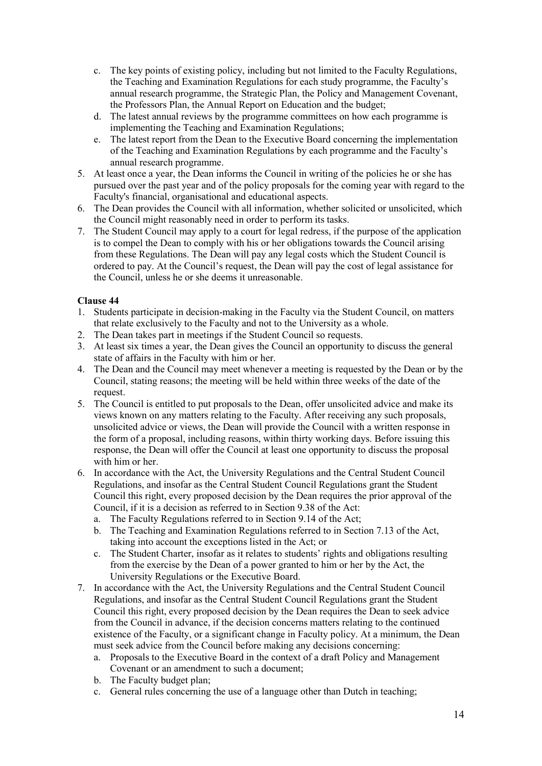- c. The key points of existing policy, including but not limited to the Faculty Regulations, the Teaching and Examination Regulations for each study programme, the Faculty's annual research programme, the Strategic Plan, the Policy and Management Covenant, the Professors Plan, the Annual Report on Education and the budget;
- d. The latest annual reviews by the programme committees on how each programme is implementing the Teaching and Examination Regulations;
- e. The latest report from the Dean to the Executive Board concerning the implementation of the Teaching and Examination Regulations by each programme and the Faculty's annual research programme.
- 5. At least once a year, the Dean informs the Council in writing of the policies he or she has pursued over the past year and of the policy proposals for the coming year with regard to the Faculty's financial, organisational and educational aspects.
- 6. The Dean provides the Council with all information, whether solicited or unsolicited, which the Council might reasonably need in order to perform its tasks.
- 7. The Student Council may apply to a court for legal redress, if the purpose of the application is to compel the Dean to comply with his or her obligations towards the Council arising from these Regulations. The Dean will pay any legal costs which the Student Council is ordered to pay. At the Council's request, the Dean will pay the cost of legal assistance for the Council, unless he or she deems it unreasonable.

- 1. Students participate in decision-making in the Faculty via the Student Council, on matters that relate exclusively to the Faculty and not to the University as a whole.
- 2. The Dean takes part in meetings if the Student Council so requests.
- 3. At least six times a year, the Dean gives the Council an opportunity to discuss the general state of affairs in the Faculty with him or her.
- 4. The Dean and the Council may meet whenever a meeting is requested by the Dean or by the Council, stating reasons; the meeting will be held within three weeks of the date of the request.
- 5. The Council is entitled to put proposals to the Dean, offer unsolicited advice and make its views known on any matters relating to the Faculty. After receiving any such proposals, unsolicited advice or views, the Dean will provide the Council with a written response in the form of a proposal, including reasons, within thirty working days. Before issuing this response, the Dean will offer the Council at least one opportunity to discuss the proposal with him or her.
- 6. In accordance with the Act, the University Regulations and the Central Student Council Regulations, and insofar as the Central Student Council Regulations grant the Student Council this right, every proposed decision by the Dean requires the prior approval of the Council, if it is a decision as referred to in Section 9.38 of the Act:
	- a. The Faculty Regulations referred to in Section 9.14 of the Act;
	- b. The Teaching and Examination Regulations referred to in Section 7.13 of the Act, taking into account the exceptions listed in the Act; or
	- c. The Student Charter, insofar as it relates to students' rights and obligations resulting from the exercise by the Dean of a power granted to him or her by the Act, the University Regulations or the Executive Board.
- 7. In accordance with the Act, the University Regulations and the Central Student Council Regulations, and insofar as the Central Student Council Regulations grant the Student Council this right, every proposed decision by the Dean requires the Dean to seek advice from the Council in advance, if the decision concerns matters relating to the continued existence of the Faculty, or a significant change in Faculty policy. At a minimum, the Dean must seek advice from the Council before making any decisions concerning:
	- a. Proposals to the Executive Board in the context of a draft Policy and Management Covenant or an amendment to such a document;
	- b. The Faculty budget plan;
	- c. General rules concerning the use of a language other than Dutch in teaching;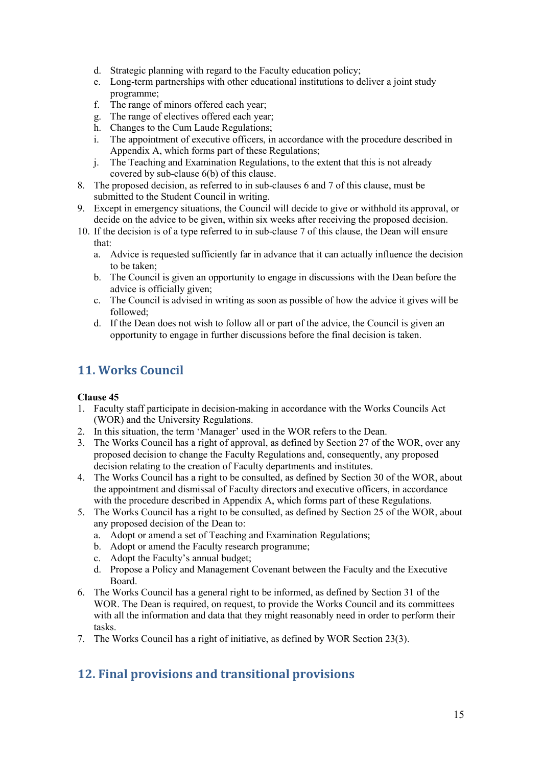- d. Strategic planning with regard to the Faculty education policy;
- e. Long-term partnerships with other educational institutions to deliver a joint study programme;
- f. The range of minors offered each year;
- g. The range of electives offered each year;
- h. Changes to the Cum Laude Regulations;
- i. The appointment of executive officers, in accordance with the procedure described in Appendix A, which forms part of these Regulations;
- j. The Teaching and Examination Regulations, to the extent that this is not already covered by sub-clause 6(b) of this clause.
- 8. The proposed decision, as referred to in sub-clauses 6 and 7 of this clause, must be submitted to the Student Council in writing.
- 9. Except in emergency situations, the Council will decide to give or withhold its approval, or decide on the advice to be given, within six weeks after receiving the proposed decision.
- 10. If the decision is of a type referred to in sub-clause 7 of this clause, the Dean will ensure that:
	- a. Advice is requested sufficiently far in advance that it can actually influence the decision to be taken;
	- b. The Council is given an opportunity to engage in discussions with the Dean before the advice is officially given;
	- c. The Council is advised in writing as soon as possible of how the advice it gives will be followed;
	- d. If the Dean does not wish to follow all or part of the advice, the Council is given an opportunity to engage in further discussions before the final decision is taken.

# <span id="page-14-0"></span>**11. Works Council**

# **Clause 45**

- 1. Faculty staff participate in decision-making in accordance with the Works Councils Act (WOR) and the University Regulations.
- 2. In this situation, the term 'Manager' used in the WOR refers to the Dean.
- 3. The Works Council has a right of approval, as defined by Section 27 of the WOR, over any proposed decision to change the Faculty Regulations and, consequently, any proposed decision relating to the creation of Faculty departments and institutes.
- 4. The Works Council has a right to be consulted, as defined by Section 30 of the WOR, about the appointment and dismissal of Faculty directors and executive officers, in accordance with the procedure described in Appendix A, which forms part of these Regulations.
- 5. The Works Council has a right to be consulted, as defined by Section 25 of the WOR, about any proposed decision of the Dean to:
	- a. Adopt or amend a set of Teaching and Examination Regulations;
	- b. Adopt or amend the Faculty research programme;
	- c. Adopt the Faculty's annual budget;
	- d. Propose a Policy and Management Covenant between the Faculty and the Executive Board.
- 6. The Works Council has a general right to be informed, as defined by Section 31 of the WOR. The Dean is required, on request, to provide the Works Council and its committees with all the information and data that they might reasonably need in order to perform their tasks.
- <span id="page-14-1"></span>7. The Works Council has a right of initiative, as defined by WOR Section 23(3).

# **12. Final provisions and transitional provisions**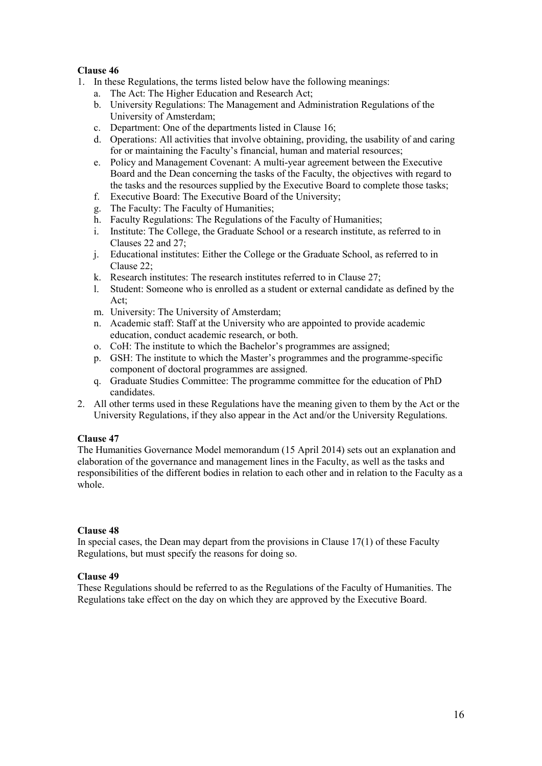- 1. In these Regulations, the terms listed below have the following meanings:
	- a. The Act: The Higher Education and Research Act;
	- b. University Regulations: The Management and Administration Regulations of the University of Amsterdam;
	- c. Department: One of the departments listed in Clause 16;
	- d. Operations: All activities that involve obtaining, providing, the usability of and caring for or maintaining the Faculty's financial, human and material resources;
	- e. Policy and Management Covenant: A multi-year agreement between the Executive Board and the Dean concerning the tasks of the Faculty, the objectives with regard to the tasks and the resources supplied by the Executive Board to complete those tasks;
	- f. Executive Board: The Executive Board of the University;
	- g. The Faculty: The Faculty of Humanities;
	- h. Faculty Regulations: The Regulations of the Faculty of Humanities;
	- i. Institute: The College, the Graduate School or a research institute, as referred to in Clauses 22 and 27;
	- j. Educational institutes: Either the College or the Graduate School, as referred to in Clause 22;
	- k. Research institutes: The research institutes referred to in Clause 27;
	- l. Student: Someone who is enrolled as a student or external candidate as defined by the Act;
	- m. University: The University of Amsterdam;
	- n. Academic staff: Staff at the University who are appointed to provide academic education, conduct academic research, or both.
	- o. CoH: The institute to which the Bachelor's programmes are assigned;
	- p. GSH: The institute to which the Master's programmes and the programme-specific component of doctoral programmes are assigned.
	- q. Graduate Studies Committee: The programme committee for the education of PhD candidates.
- 2. All other terms used in these Regulations have the meaning given to them by the Act or the University Regulations, if they also appear in the Act and/or the University Regulations.

# **Clause 47**

The Humanities Governance Model memorandum (15 April 2014) sets out an explanation and elaboration of the governance and management lines in the Faculty, as well as the tasks and responsibilities of the different bodies in relation to each other and in relation to the Faculty as a whole.

#### **Clause 48**

In special cases, the Dean may depart from the provisions in Clause  $17(1)$  of these Faculty Regulations, but must specify the reasons for doing so.

#### **Clause 49**

These Regulations should be referred to as the Regulations of the Faculty of Humanities. The Regulations take effect on the day on which they are approved by the Executive Board.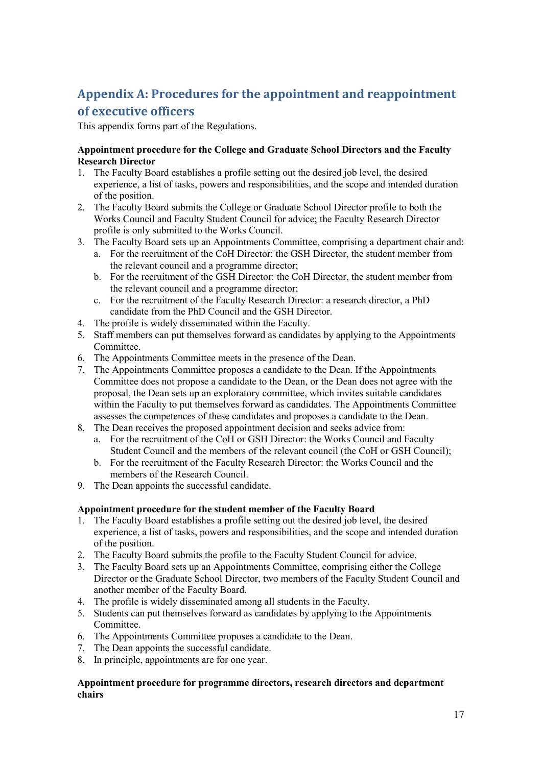# <span id="page-16-0"></span>**Appendix A: Procedures for the appointment and reappointment of executive officers**

This appendix forms part of the Regulations.

### **Appointment procedure for the College and Graduate School Directors and the Faculty Research Director**

- 1. The Faculty Board establishes a profile setting out the desired job level, the desired experience, a list of tasks, powers and responsibilities, and the scope and intended duration of the position.
- 2. The Faculty Board submits the College or Graduate School Director profile to both the Works Council and Faculty Student Council for advice; the Faculty Research Director profile is only submitted to the Works Council.
- 3. The Faculty Board sets up an Appointments Committee, comprising a department chair and:
	- a. For the recruitment of the CoH Director: the GSH Director, the student member from the relevant council and a programme director;
	- b. For the recruitment of the GSH Director: the CoH Director, the student member from the relevant council and a programme director;
	- c. For the recruitment of the Faculty Research Director: a research director, a PhD candidate from the PhD Council and the GSH Director.
- 4. The profile is widely disseminated within the Faculty.
- 5. Staff members can put themselves forward as candidates by applying to the Appointments Committee.
- 6. The Appointments Committee meets in the presence of the Dean.
- 7. The Appointments Committee proposes a candidate to the Dean. If the Appointments Committee does not propose a candidate to the Dean, or the Dean does not agree with the proposal, the Dean sets up an exploratory committee, which invites suitable candidates within the Faculty to put themselves forward as candidates. The Appointments Committee assesses the competences of these candidates and proposes a candidate to the Dean.
- 8. The Dean receives the proposed appointment decision and seeks advice from:
	- a. For the recruitment of the CoH or GSH Director: the Works Council and Faculty Student Council and the members of the relevant council (the CoH or GSH Council);
	- b. For the recruitment of the Faculty Research Director: the Works Council and the members of the Research Council.
- 9. The Dean appoints the successful candidate.

# **Appointment procedure for the student member of the Faculty Board**

- 1. The Faculty Board establishes a profile setting out the desired job level, the desired experience, a list of tasks, powers and responsibilities, and the scope and intended duration of the position.
- 2. The Faculty Board submits the profile to the Faculty Student Council for advice.
- 3. The Faculty Board sets up an Appointments Committee, comprising either the College Director or the Graduate School Director, two members of the Faculty Student Council and another member of the Faculty Board.
- 4. The profile is widely disseminated among all students in the Faculty.
- 5. Students can put themselves forward as candidates by applying to the Appointments Committee.
- 6. The Appointments Committee proposes a candidate to the Dean.
- 7. The Dean appoints the successful candidate.
- 8. In principle, appointments are for one year.

#### **Appointment procedure for programme directors, research directors and department chairs**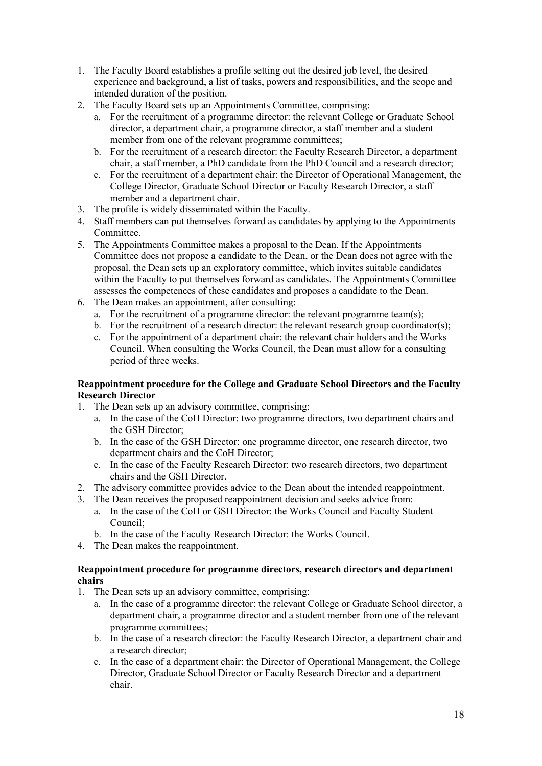- 1. The Faculty Board establishes a profile setting out the desired job level, the desired experience and background, a list of tasks, powers and responsibilities, and the scope and intended duration of the position.
- 2. The Faculty Board sets up an Appointments Committee, comprising:
	- a. For the recruitment of a programme director: the relevant College or Graduate School director, a department chair, a programme director, a staff member and a student member from one of the relevant programme committees;
	- b. For the recruitment of a research director: the Faculty Research Director, a department chair, a staff member, a PhD candidate from the PhD Council and a research director;
	- c. For the recruitment of a department chair: the Director of Operational Management, the College Director, Graduate School Director or Faculty Research Director, a staff member and a department chair.
- 3. The profile is widely disseminated within the Faculty.
- 4. Staff members can put themselves forward as candidates by applying to the Appointments Committee.
- 5. The Appointments Committee makes a proposal to the Dean. If the Appointments Committee does not propose a candidate to the Dean, or the Dean does not agree with the proposal, the Dean sets up an exploratory committee, which invites suitable candidates within the Faculty to put themselves forward as candidates. The Appointments Committee assesses the competences of these candidates and proposes a candidate to the Dean.
- 6. The Dean makes an appointment, after consulting:
	- a. For the recruitment of a programme director: the relevant programme team(s);
	- b. For the recruitment of a research director: the relevant research group coordinator(s);
	- c. For the appointment of a department chair: the relevant chair holders and the Works Council. When consulting the Works Council, the Dean must allow for a consulting period of three weeks.

### **Reappointment procedure for the College and Graduate School Directors and the Faculty Research Director**

- 1. The Dean sets up an advisory committee, comprising:
	- a. In the case of the CoH Director: two programme directors, two department chairs and the GSH Director;
	- b. In the case of the GSH Director: one programme director, one research director, two department chairs and the CoH Director;
	- c. In the case of the Faculty Research Director: two research directors, two department chairs and the GSH Director.
- 2. The advisory committee provides advice to the Dean about the intended reappointment.
- 3. The Dean receives the proposed reappointment decision and seeks advice from:
	- a. In the case of the CoH or GSH Director: the Works Council and Faculty Student Council;
	- b. In the case of the Faculty Research Director: the Works Council.
- 4. The Dean makes the reappointment.

#### **Reappointment procedure for programme directors, research directors and department chairs**

- 1. The Dean sets up an advisory committee, comprising:
	- a. In the case of a programme director: the relevant College or Graduate School director, a department chair, a programme director and a student member from one of the relevant programme committees;
	- b. In the case of a research director: the Faculty Research Director, a department chair and a research director;
	- c. In the case of a department chair: the Director of Operational Management, the College Director, Graduate School Director or Faculty Research Director and a department chair.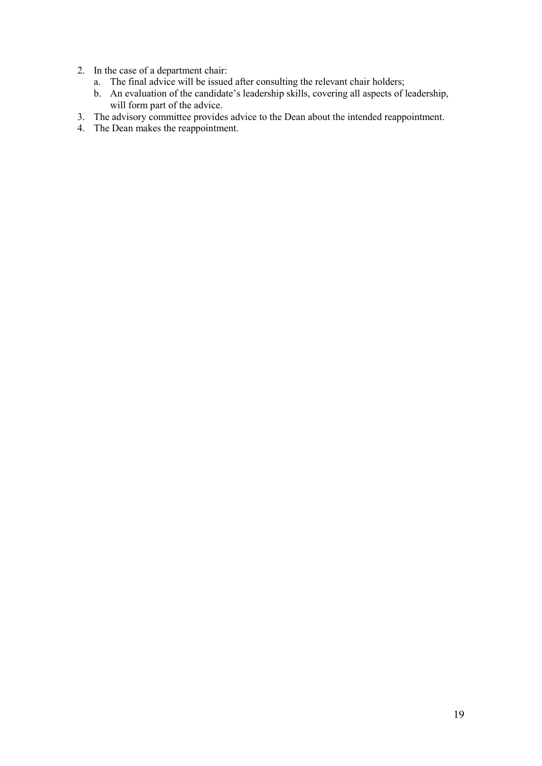- 2. In the case of a department chair:
	- a. The final advice will be issued after consulting the relevant chair holders;
	- b. An evaluation of the candidate's leadership skills, covering all aspects of leadership, will form part of the advice.
- 3. The advisory committee provides advice to the Dean about the intended reappointment.
- 4. The Dean makes the reappointment.